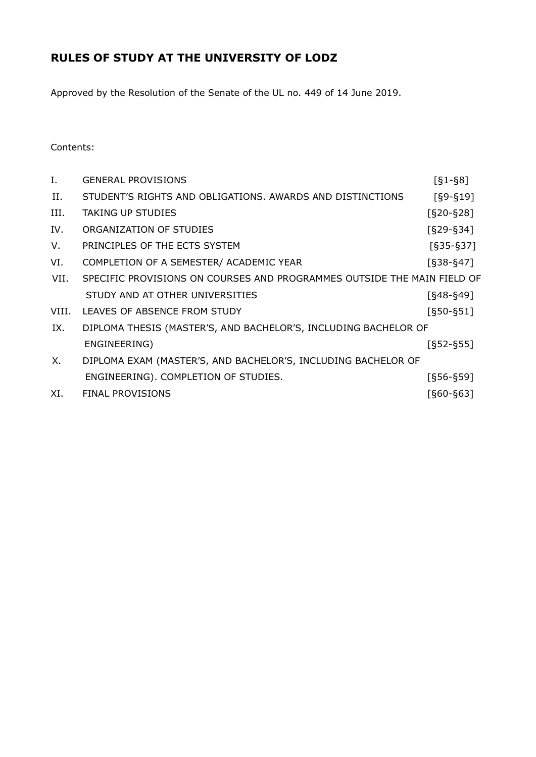# **RULES OF STUDY AT THE UNIVERSITY OF LODZ**

Approved by the Resolution of the Senate of the UL no. 449 of 14 June 2019.

# Contents:

| Ι.    | <b>GENERAL PROVISIONS</b>                                               | $[61 - 68]$   |
|-------|-------------------------------------------------------------------------|---------------|
| II.   | STUDENT'S RIGHTS AND OBLIGATIONS, AWARDS AND DISTINCTIONS               | $[§9-§19]$    |
| III.  | <b>TAKING UP STUDIES</b>                                                | $[§20 - §28]$ |
| IV.   | ORGANIZATION OF STUDIES                                                 | $[§29-S34]$   |
| V.    | PRINCIPLES OF THE ECTS SYSTEM                                           | $[§35-S37]$   |
| VI.   | COMPLETION OF A SEMESTER/ ACADEMIC YEAR                                 | [§38-§47]     |
| VII.  | SPECIFIC PROVISIONS ON COURSES AND PROGRAMMES OUTSIDE THE MAIN FIELD OF |               |
|       | STUDY AND AT OTHER UNIVERSITIES                                         | $[648 - 649]$ |
| VIII. | LEAVES OF ABSENCE FROM STUDY                                            | $[650 - 651]$ |
| IX.   | DIPLOMA THESIS (MASTER'S, AND BACHELOR'S, INCLUDING BACHELOR OF         |               |
|       | ENGINEERING)                                                            | $[§52-S55]$   |
| Х.    | DIPLOMA EXAM (MASTER'S, AND BACHELOR'S, INCLUDING BACHELOR OF           |               |
|       | ENGINEERING). COMPLETION OF STUDIES.                                    | $[§56 - §59]$ |
| XI.   | <b>FINAL PROVISIONS</b>                                                 | $[660 - 663]$ |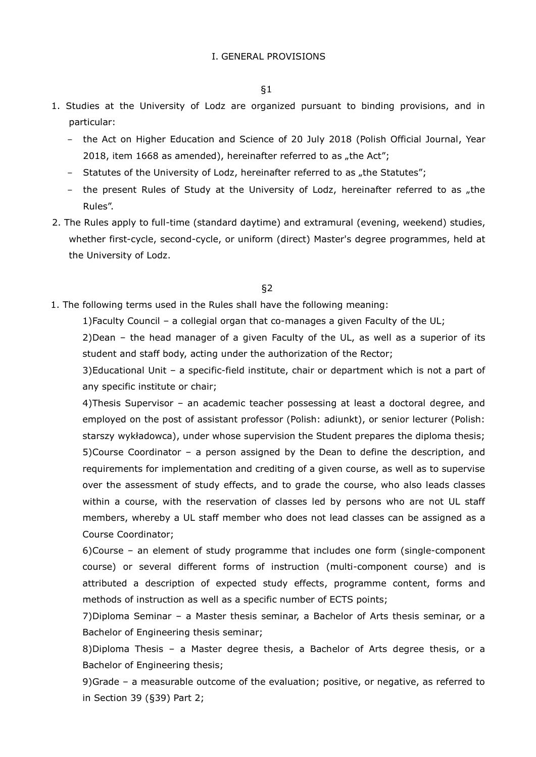- 1. Studies at the University of Lodz are organized pursuant to binding provisions, and in particular:
	- − the Act on Higher Education and Science of 20 July 2018 (Polish Official Journal, Year 2018, item 1668 as amended), hereinafter referred to as "the Act";
	- − Statutes of the University of Lodz, hereinafter referred to as "the Statutes";
	- − the present Rules of Study at the University of Lodz, hereinafter referred to as "the Rules".
- 2. The Rules apply to full-time (standard daytime) and extramural (evening, weekend) studies, whether first-cycle, second-cycle, or uniform (direct) Master's degree programmes, held at the University of Lodz.

1. The following terms used in the Rules shall have the following meaning:

1)Faculty Council – a collegial organ that co-manages a given Faculty of the UL;

2)Dean – the head manager of a given Faculty of the UL, as well as a superior of its student and staff body, acting under the authorization of the Rector;

3)Educational Unit – a specific-field institute, chair or department which is not a part of any specific institute or chair;

4)Thesis Supervisor – an academic teacher possessing at least a doctoral degree, and employed on the post of assistant professor (Polish: adiunkt), or senior lecturer (Polish: starszy wykładowca), under whose supervision the Student prepares the diploma thesis; 5)Course Coordinator – a person assigned by the Dean to define the description, and requirements for implementation and crediting of a given course, as well as to supervise over the assessment of study effects, and to grade the course, who also leads classes within a course, with the reservation of classes led by persons who are not UL staff members, whereby a UL staff member who does not lead classes can be assigned as a Course Coordinator;

6)Course – an element of study programme that includes one form (single-component course) or several different forms of instruction (multi-component course) and is attributed a description of expected study effects, programme content, forms and methods of instruction as well as a specific number of ECTS points;

7)Diploma Seminar – a Master thesis seminar, a Bachelor of Arts thesis seminar, or a Bachelor of Engineering thesis seminar;

8)Diploma Thesis – a Master degree thesis, a Bachelor of Arts degree thesis, or a Bachelor of Engineering thesis;

9)Grade – a measurable outcome of the evaluation; positive, or negative, as referred to in Section 39 (§39) Part 2;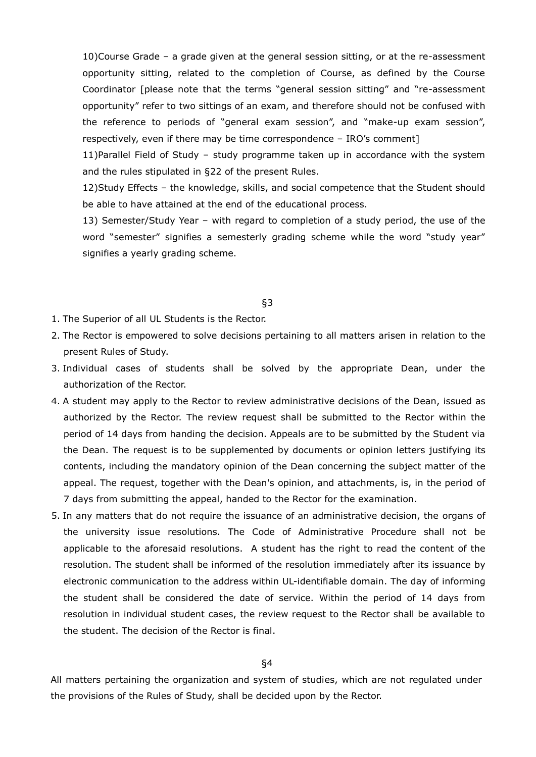10)Course Grade – a grade given at the general session sitting, or at the re-assessment opportunity sitting, related to the completion of Course, as defined by the Course Coordinator [please note that the terms "general session sitting" and "re-assessment opportunity" refer to two sittings of an exam, and therefore should not be confused with the reference to periods of "general exam session", and "make-up exam session", respectively, even if there may be time correspondence – IRO's comment]

11)Parallel Field of Study – study programme taken up in accordance with the system and the rules stipulated in §22 of the present Rules.

12)Study Effects – the knowledge, skills, and social competence that the Student should be able to have attained at the end of the educational process.

13) Semester/Study Year – with regard to completion of a study period, the use of the word "semester" signifies a semesterly grading scheme while the word "study year" signifies a yearly grading scheme.

#### §3

- 1. The Superior of all UL Students is the Rector.
- 2. The Rector is empowered to solve decisions pertaining to all matters arisen in relation to the present Rules of Study.
- 3. Individual cases of students shall be solved by the appropriate Dean, under the authorization of the Rector.
- 4. A student may apply to the Rector to review administrative decisions of the Dean, issued as authorized by the Rector. The review request shall be submitted to the Rector within the period of 14 days from handing the decision. Appeals are to be submitted by the Student via the Dean. The request is to be supplemented by documents or opinion letters justifying its contents, including the mandatory opinion of the Dean concerning the subject matter of the appeal. The request, together with the Dean's opinion, and attachments, is, in the period of 7 days from submitting the appeal, handed to the Rector for the examination.
- 5. In any matters that do not require the issuance of an administrative decision, the organs of the university issue resolutions. The Code of Administrative Procedure shall not be applicable to the aforesaid resolutions. A student has the right to read the content of the resolution. The student shall be informed of the resolution immediately after its issuance by electronic communication to the address within UL-identifiable domain. The day of informing the student shall be considered the date of service. Within the period of 14 days from resolution in individual student cases, the review request to the Rector shall be available to the student. The decision of the Rector is final.

## §4

All matters pertaining the organization and system of studies, which are not regulated under the provisions of the Rules of Study, shall be decided upon by the Rector.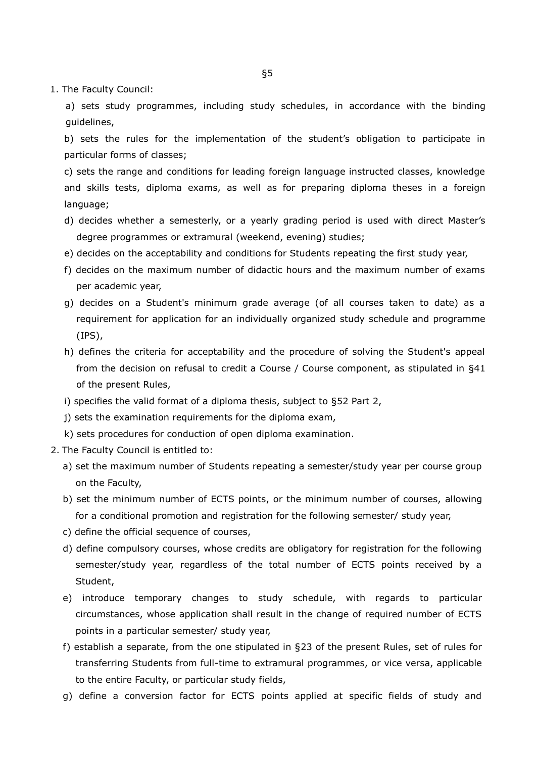1. The Faculty Council:

a) sets study programmes, including study schedules, in accordance with the binding guidelines,

b) sets the rules for the implementation of the student's obligation to participate in particular forms of classes;

c) sets the range and conditions for leading foreign language instructed classes, knowledge and skills tests, diploma exams, as well as for preparing diploma theses in a foreign language;

- d) decides whether a semesterly, or a yearly grading period is used with direct Master's degree programmes or extramural (weekend, evening) studies;
- e) decides on the acceptability and conditions for Students repeating the first study year,
- f) decides on the maximum number of didactic hours and the maximum number of exams per academic year,
- g) decides on a Student's minimum grade average (of all courses taken to date) as a requirement for application for an individually organized study schedule and programme (IPS),
- h) defines the criteria for acceptability and the procedure of solving the Student's appeal from the decision on refusal to credit a Course / Course component, as stipulated in §41 of the present Rules,
- i) specifies the valid format of a diploma thesis, subject to §52 Part 2,
- j) sets the examination requirements for the diploma exam,
- k) sets procedures for conduction of open diploma examination.
- 2. The Faculty Council is entitled to:
	- a) set the maximum number of Students repeating a semester/study year per course group on the Faculty,
	- b) set the minimum number of ECTS points, or the minimum number of courses, allowing for a conditional promotion and registration for the following semester/ study year,
	- c) define the official sequence of courses,
	- d) define compulsory courses, whose credits are obligatory for registration for the following semester/study year, regardless of the total number of ECTS points received by a Student,
	- e) introduce temporary changes to study schedule, with regards to particular circumstances, whose application shall result in the change of required number of ECTS points in a particular semester/ study year,
	- f) establish a separate, from the one stipulated in §23 of the present Rules, set of rules for transferring Students from full-time to extramural programmes, or vice versa, applicable to the entire Faculty, or particular study fields,
	- g) define a conversion factor for ECTS points applied at specific fields of study and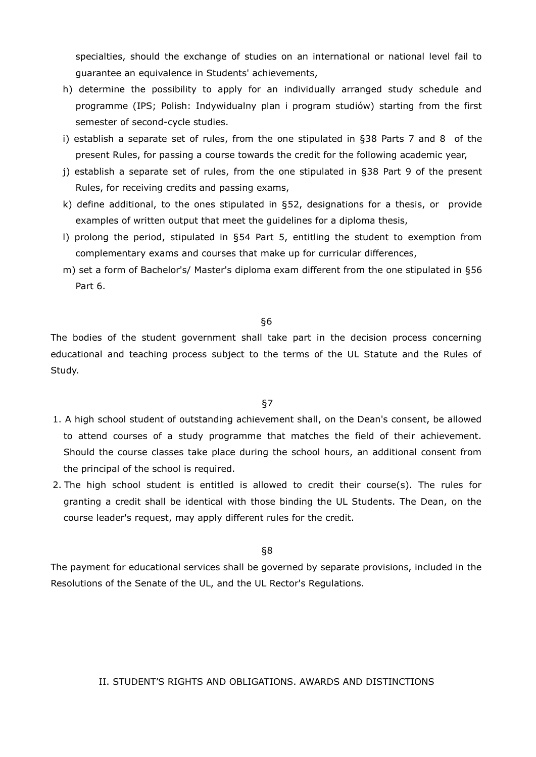specialties, should the exchange of studies on an international or national level fail to guarantee an equivalence in Students' achievements,

- h) determine the possibility to apply for an individually arranged study schedule and programme (IPS; Polish: Indywidualny plan i program studiów) starting from the first semester of second-cycle studies.
- i) establish a separate set of rules, from the one stipulated in §38 Parts 7 and 8 of the present Rules, for passing a course towards the credit for the following academic year,
- j) establish a separate set of rules, from the one stipulated in §38 Part 9 of the present Rules, for receiving credits and passing exams,
- k) define additional, to the ones stipulated in §52, designations for a thesis, or provide examples of written output that meet the guidelines for a diploma thesis,
- l) prolong the period, stipulated in §54 Part 5, entitling the student to exemption from complementary exams and courses that make up for curricular differences,
- m) set a form of Bachelor's/ Master's diploma exam different from the one stipulated in §56 Part 6.

§6

The bodies of the student government shall take part in the decision process concerning educational and teaching process subject to the terms of the UL Statute and the Rules of Study.

§7

- 1. A high school student of outstanding achievement shall, on the Dean's consent, be allowed to attend courses of a study programme that matches the field of their achievement. Should the course classes take place during the school hours, an additional consent from the principal of the school is required.
- 2. The high school student is entitled is allowed to credit their course(s). The rules for granting a credit shall be identical with those binding the UL Students. The Dean, on the course leader's request, may apply different rules for the credit.

## §8

The payment for educational services shall be governed by separate provisions, included in the Resolutions of the Senate of the UL, and the UL Rector's Regulations.

II. STUDENT'S RIGHTS AND OBLIGATIONS. AWARDS AND DISTINCTIONS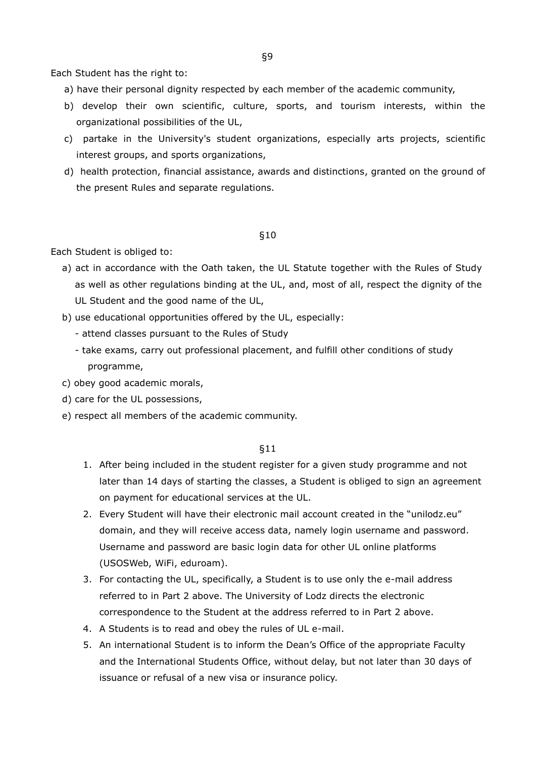Each Student has the right to:

- a) have their personal dignity respected by each member of the academic community,
- b) develop their own scientific, culture, sports, and tourism interests, within the organizational possibilities of the UL,
- c) partake in the University's student organizations, especially arts projects, scientific interest groups, and sports organizations,
- d) health protection, financial assistance, awards and distinctions, granted on the ground of the present Rules and separate regulations.

## §10

Each Student is obliged to:

- a) act in accordance with the Oath taken, the UL Statute together with the Rules of Study as well as other regulations binding at the UL, and, most of all, respect the dignity of the UL Student and the good name of the UL,
- b) use educational opportunities offered by the UL, especially:
	- attend classes pursuant to the Rules of Study
	- take exams, carry out professional placement, and fulfill other conditions of study programme,
- c) obey good academic morals,
- d) care for the UL possessions,
- e) respect all members of the academic community.

- 1. After being included in the student register for a given study programme and not later than 14 days of starting the classes, a Student is obliged to sign an agreement on payment for educational services at the UL.
- 2. Every Student will have their electronic mail account created in the "unilodz.eu" domain, and they will receive access data, namely login username and password. Username and password are basic login data for other UL online platforms (USOSWeb, WiFi, eduroam).
- 3. For contacting the UL, specifically, a Student is to use only the e-mail address referred to in Part 2 above. The University of Lodz directs the electronic correspondence to the Student at the address referred to in Part 2 above.
- 4. A Students is to read and obey the rules of UL e-mail.
- 5. An international Student is to inform the Dean's Office of the appropriate Faculty and the International Students Office, without delay, but not later than 30 days of issuance or refusal of a new visa or insurance policy.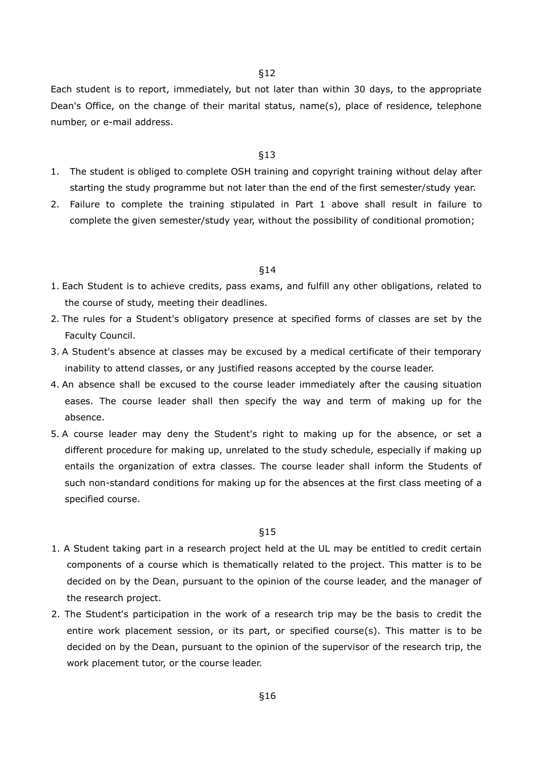Each student is to report, immediately, but not later than within 30 days, to the appropriate Dean's Office, on the change of their marital status, name(s), place of residence, telephone number, or e-mail address.

#### §13

- 1. The student is obliged to complete OSH training and copyright training without delay after starting the study programme but not later than the end of the first semester/study year.
- 2. Failure to complete the training stipulated in Part 1 above shall result in failure to complete the given semester/study year, without the possibility of conditional promotion;

#### §14

- 1. Each Student is to achieve credits, pass exams, and fulfill any other obligations, related to the course of study, meeting their deadlines.
- 2. The rules for a Student's obligatory presence at specified forms of classes are set by the Faculty Council.
- 3. A Student's absence at classes may be excused by a medical certificate of their temporary inability to attend classes, or any justified reasons accepted by the course leader.
- 4. An absence shall be excused to the course leader immediately after the causing situation eases. The course leader shall then specify the way and term of making up for the absence.
- 5. A course leader may deny the Student's right to making up for the absence, or set a different procedure for making up, unrelated to the study schedule, especially if making up entails the organization of extra classes. The course leader shall inform the Students of such non-standard conditions for making up for the absences at the first class meeting of a specified course.

- 1. A Student taking part in a research project held at the UL may be entitled to credit certain components of a course which is thematically related to the project. This matter is to be decided on by the Dean, pursuant to the opinion of the course leader, and the manager of the research project.
- 2. The Student's participation in the work of a research trip may be the basis to credit the entire work placement session, or its part, or specified course(s). This matter is to be decided on by the Dean, pursuant to the opinion of the supervisor of the research trip, the work placement tutor, or the course leader.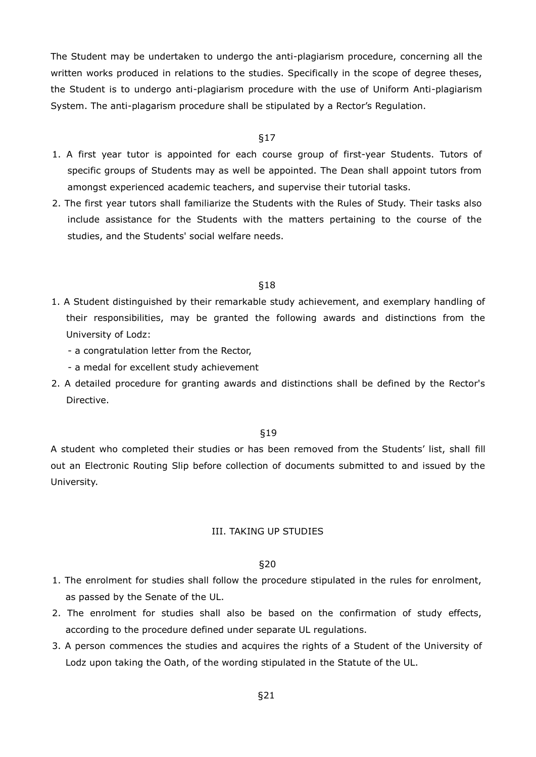The Student may be undertaken to undergo the anti-plagiarism procedure, concerning all the written works produced in relations to the studies. Specifically in the scope of degree theses, the Student is to undergo anti-plagiarism procedure with the use of Uniform Anti-plagiarism System. The anti-plagarism procedure shall be stipulated by a Rector's Regulation.

#### §17

- 1. A first year tutor is appointed for each course group of first-year Students. Tutors of specific groups of Students may as well be appointed. The Dean shall appoint tutors from amongst experienced academic teachers, and supervise their tutorial tasks.
- 2. The first year tutors shall familiarize the Students with the Rules of Study. Their tasks also include assistance for the Students with the matters pertaining to the course of the studies, and the Students' social welfare needs.

## §18

- 1. A Student distinguished by their remarkable study achievement, and exemplary handling of their responsibilities, may be granted the following awards and distinctions from the University of Lodz:
	- a congratulation letter from the Rector,
	- a medal for excellent study achievement
- 2. A detailed procedure for granting awards and distinctions shall be defined by the Rector's Directive.

## §19

A student who completed their studies or has been removed from the Students' list, shall fill out an Electronic Routing Slip before collection of documents submitted to and issued by the University.

#### III. TAKING UP STUDIES

- 1. The enrolment for studies shall follow the procedure stipulated in the rules for enrolment, as passed by the Senate of the UL.
- 2. The enrolment for studies shall also be based on the confirmation of study effects, according to the procedure defined under separate UL regulations.
- 3. A person commences the studies and acquires the rights of a Student of the University of Lodz upon taking the Oath, of the wording stipulated in the Statute of the UL.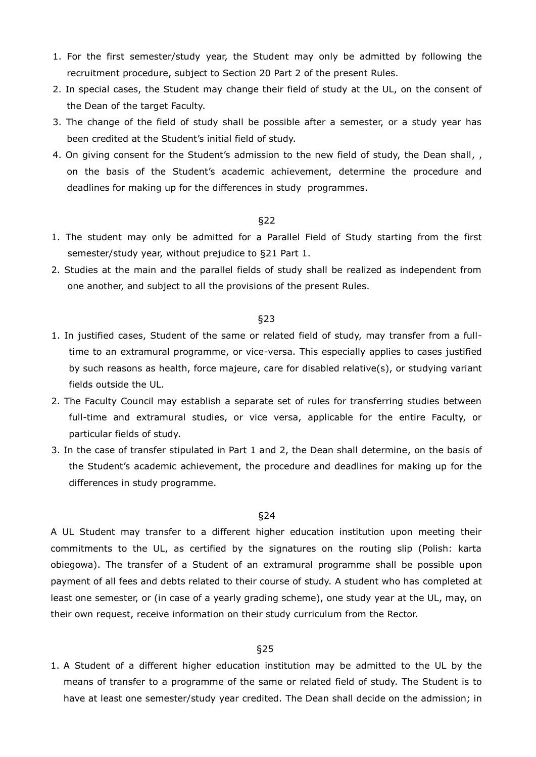- 1. For the first semester/study year, the Student may only be admitted by following the recruitment procedure, subject to Section 20 Part 2 of the present Rules.
- 2. In special cases, the Student may change their field of study at the UL, on the consent of the Dean of the target Faculty.
- 3. The change of the field of study shall be possible after a semester, or a study year has been credited at the Student's initial field of study.
- 4. On giving consent for the Student's admission to the new field of study, the Dean shall, , on the basis of the Student's academic achievement, determine the procedure and deadlines for making up for the differences in study programmes.

- 1. The student may only be admitted for a Parallel Field of Study starting from the first semester/study year, without prejudice to §21 Part 1.
- 2. Studies at the main and the parallel fields of study shall be realized as independent from one another, and subject to all the provisions of the present Rules.

#### §23

- 1. In justified cases, Student of the same or related field of study, may transfer from a fulltime to an extramural programme, or vice-versa. This especially applies to cases justified by such reasons as health, force majeure, care for disabled relative(s), or studying variant fields outside the UL.
- 2. The Faculty Council may establish a separate set of rules for transferring studies between full-time and extramural studies, or vice versa, applicable for the entire Faculty, or particular fields of study.
- 3. In the case of transfer stipulated in Part 1 and 2, the Dean shall determine, on the basis of the Student's academic achievement, the procedure and deadlines for making up for the differences in study programme.

## §24

A UL Student may transfer to a different higher education institution upon meeting their commitments to the UL, as certified by the signatures on the routing slip (Polish: karta obiegowa). The transfer of a Student of an extramural programme shall be possible upon payment of all fees and debts related to their course of study. A student who has completed at least one semester, or (in case of a yearly grading scheme), one study year at the UL, may, on their own request, receive information on their study curriculum from the Rector.

## §25

1. A Student of a different higher education institution may be admitted to the UL by the means of transfer to a programme of the same or related field of study. The Student is to have at least one semester/study year credited. The Dean shall decide on the admission; in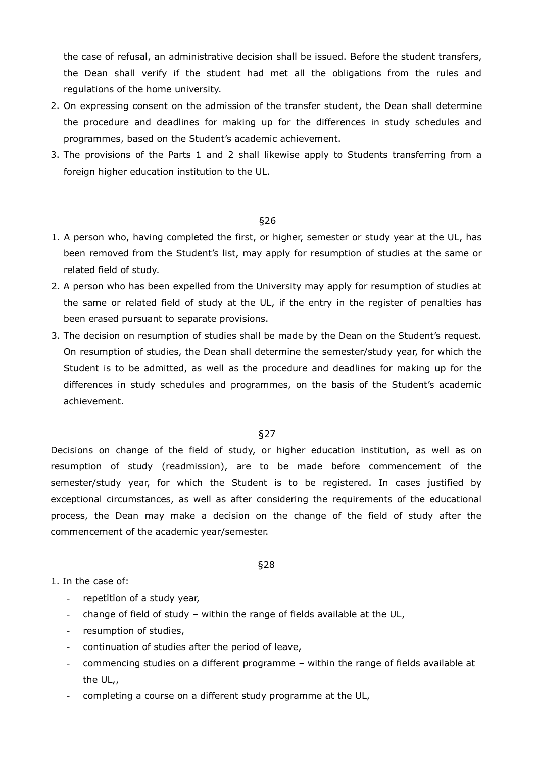the case of refusal, an administrative decision shall be issued. Before the student transfers, the Dean shall verify if the student had met all the obligations from the rules and regulations of the home university.

- 2. On expressing consent on the admission of the transfer student, the Dean shall determine the procedure and deadlines for making up for the differences in study schedules and programmes, based on the Student's academic achievement.
- 3. The provisions of the Parts 1 and 2 shall likewise apply to Students transferring from a foreign higher education institution to the UL.

## §26

- 1. A person who, having completed the first, or higher, semester or study year at the UL, has been removed from the Student's list, may apply for resumption of studies at the same or related field of study.
- 2. A person who has been expelled from the University may apply for resumption of studies at the same or related field of study at the UL, if the entry in the register of penalties has been erased pursuant to separate provisions.
- 3. The decision on resumption of studies shall be made by the Dean on the Student's request. On resumption of studies, the Dean shall determine the semester/study year, for which the Student is to be admitted, as well as the procedure and deadlines for making up for the differences in study schedules and programmes, on the basis of the Student's academic achievement.

#### §27

Decisions on change of the field of study, or higher education institution, as well as on resumption of study (readmission), are to be made before commencement of the semester/study year, for which the Student is to be registered. In cases justified by exceptional circumstances, as well as after considering the requirements of the educational process, the Dean may make a decision on the change of the field of study after the commencement of the academic year/semester.

#### §28

## 1. In the case of:

- repetition of a study year,
- change of field of study within the range of fields available at the UL,
- resumption of studies,
- continuation of studies after the period of leave,
- commencing studies on a different programme within the range of fields available at the UL,,
- completing a course on a different study programme at the UL,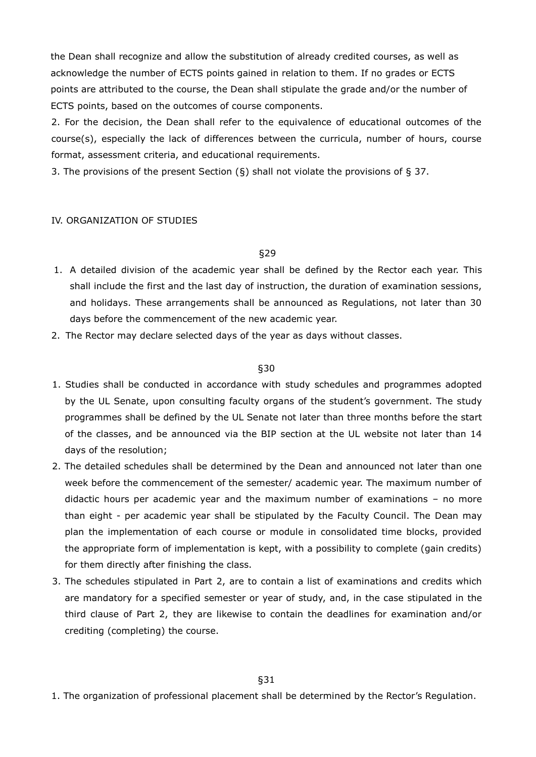the Dean shall recognize and allow the substitution of already credited courses, as well as acknowledge the number of ECTS points gained in relation to them. If no grades or ECTS points are attributed to the course, the Dean shall stipulate the grade and/or the number of ECTS points, based on the outcomes of course components.

2. For the decision, the Dean shall refer to the equivalence of educational outcomes of the course(s), especially the lack of differences between the curricula, number of hours, course format, assessment criteria, and educational requirements.

3. The provisions of the present Section  $(\S)$  shall not violate the provisions of  $\S$  37.

## IV. ORGANIZATION OF STUDIES

## §29

- 1. A detailed division of the academic year shall be defined by the Rector each year. This shall include the first and the last day of instruction, the duration of examination sessions, and holidays. These arrangements shall be announced as Regulations, not later than 30 days before the commencement of the new academic year.
- 2. The Rector may declare selected days of the year as days without classes.

## §30

- 1. Studies shall be conducted in accordance with study schedules and programmes adopted by the UL Senate, upon consulting faculty organs of the student's government. The study programmes shall be defined by the UL Senate not later than three months before the start of the classes, and be announced via the BIP section at the UL website not later than 14 days of the resolution;
- 2. The detailed schedules shall be determined by the Dean and announced not later than one week before the commencement of the semester/ academic year. The maximum number of didactic hours per academic year and the maximum number of examinations – no more than eight - per academic year shall be stipulated by the Faculty Council. The Dean may plan the implementation of each course or module in consolidated time blocks, provided the appropriate form of implementation is kept, with a possibility to complete (gain credits) for them directly after finishing the class.
- 3. The schedules stipulated in Part 2, are to contain a list of examinations and credits which are mandatory for a specified semester or year of study, and, in the case stipulated in the third clause of Part 2, they are likewise to contain the deadlines for examination and/or crediting (completing) the course.

1. The organization of professional placement shall be determined by the Rector's Regulation.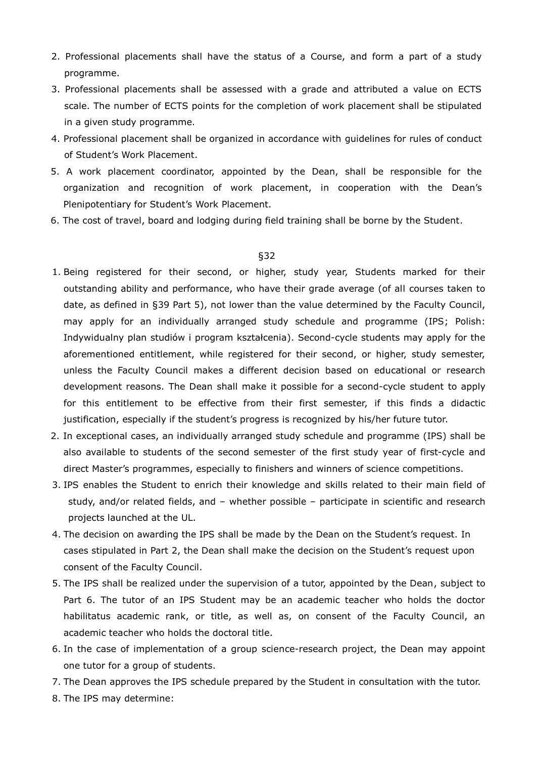- 2. Professional placements shall have the status of a Course, and form a part of a study programme.
- 3. Professional placements shall be assessed with a grade and attributed a value on ECTS scale. The number of ECTS points for the completion of work placement shall be stipulated in a given study programme.
- 4. Professional placement shall be organized in accordance with guidelines for rules of conduct of Student's Work Placement.
- 5. A work placement coordinator, appointed by the Dean, shall be responsible for the organization and recognition of work placement, in cooperation with the Dean's Plenipotentiary for Student's Work Placement.
- 6. The cost of travel, board and lodging during field training shall be borne by the Student.

- 1. Being registered for their second, or higher, study year, Students marked for their outstanding ability and performance, who have their grade average (of all courses taken to date, as defined in §39 Part 5), not lower than the value determined by the Faculty Council, may apply for an individually arranged study schedule and programme (IPS; Polish: Indywidualny plan studiów i program kształcenia). Second-cycle students may apply for the aforementioned entitlement, while registered for their second, or higher, study semester, unless the Faculty Council makes a different decision based on educational or research development reasons. The Dean shall make it possible for a second-cycle student to apply for this entitlement to be effective from their first semester, if this finds a didactic justification, especially if the student's progress is recognized by his/her future tutor.
- 2. In exceptional cases, an individually arranged study schedule and programme (IPS) shall be also available to students of the second semester of the first study year of first-cycle and direct Master's programmes, especially to finishers and winners of science competitions.
- 3. IPS enables the Student to enrich their knowledge and skills related to their main field of study, and/or related fields, and – whether possible – participate in scientific and research projects launched at the UL.
- 4. The decision on awarding the IPS shall be made by the Dean on the Student's request. In cases stipulated in Part 2, the Dean shall make the decision on the Student's request upon consent of the Faculty Council.
- 5. The IPS shall be realized under the supervision of a tutor, appointed by the Dean, subject to Part 6. The tutor of an IPS Student may be an academic teacher who holds the doctor habilitatus academic rank, or title, as well as, on consent of the Faculty Council, an academic teacher who holds the doctoral title.
- 6. In the case of implementation of a group science-research project, the Dean may appoint one tutor for a group of students.
- 7. The Dean approves the IPS schedule prepared by the Student in consultation with the tutor.
- 8. The IPS may determine: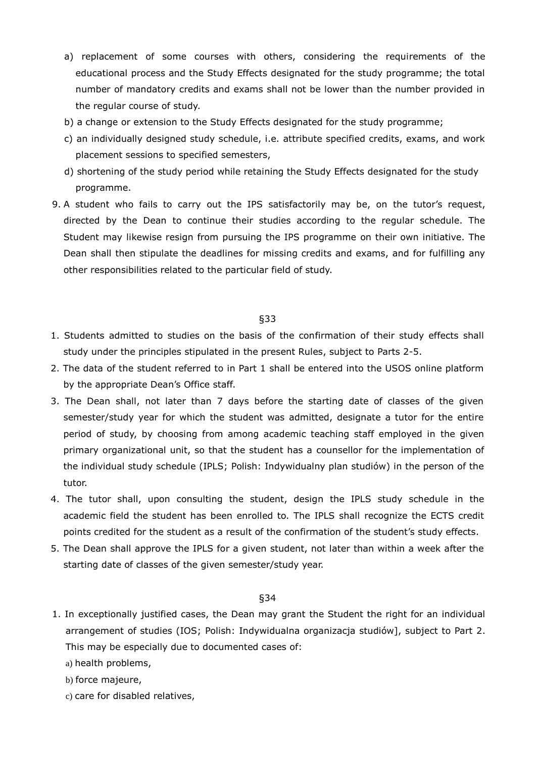- a) replacement of some courses with others, considering the requirements of the educational process and the Study Effects designated for the study programme; the total number of mandatory credits and exams shall not be lower than the number provided in the regular course of study.
- b) a change or extension to the Study Effects designated for the study programme;
- c) an individually designed study schedule, i.e. attribute specified credits, exams, and work placement sessions to specified semesters,
- d) shortening of the study period while retaining the Study Effects designated for the study programme.
- 9. A student who fails to carry out the IPS satisfactorily may be, on the tutor's request, directed by the Dean to continue their studies according to the regular schedule. The Student may likewise resign from pursuing the IPS programme on their own initiative. The Dean shall then stipulate the deadlines for missing credits and exams, and for fulfilling any other responsibilities related to the particular field of study.

- 1. Students admitted to studies on the basis of the confirmation of their study effects shall study under the principles stipulated in the present Rules, subject to Parts 2-5.
- 2. The data of the student referred to in Part 1 shall be entered into the USOS online platform by the appropriate Dean's Office staff.
- 3. The Dean shall, not later than 7 days before the starting date of classes of the given semester/study year for which the student was admitted, designate a tutor for the entire period of study, by choosing from among academic teaching staff employed in the given primary organizational unit, so that the student has a counsellor for the implementation of the individual study schedule (IPLS; Polish: Indywidualny plan studiów) in the person of the tutor.
- 4. The tutor shall, upon consulting the student, design the IPLS study schedule in the academic field the student has been enrolled to. The IPLS shall recognize the ECTS credit points credited for the student as a result of the confirmation of the student's study effects.
- 5. The Dean shall approve the IPLS for a given student, not later than within a week after the starting date of classes of the given semester/study year.

- 1. In exceptionally justified cases, the Dean may grant the Student the right for an individual arrangement of studies (IOS; Polish: Indywidualna organizacja studiów], subject to Part 2. This may be especially due to documented cases of:
	- a) health problems,
	- b) force majeure,
	- c) care for disabled relatives,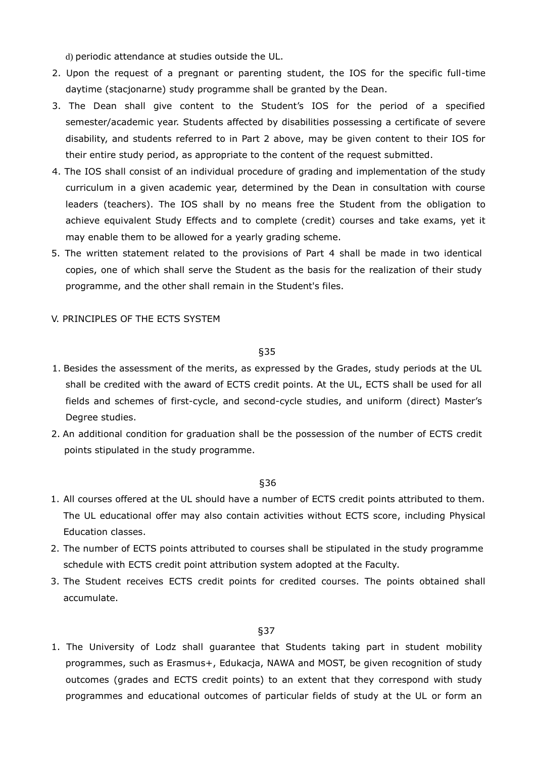d) periodic attendance at studies outside the UL.

- 2. Upon the request of a pregnant or parenting student, the IOS for the specific full-time daytime (stacjonarne) study programme shall be granted by the Dean.
- 3. The Dean shall give content to the Student's IOS for the period of a specified semester/academic year. Students affected by disabilities possessing a certificate of severe disability, and students referred to in Part 2 above, may be given content to their IOS for their entire study period, as appropriate to the content of the request submitted.
- 4. The IOS shall consist of an individual procedure of grading and implementation of the study curriculum in a given academic year, determined by the Dean in consultation with course leaders (teachers). The IOS shall by no means free the Student from the obligation to achieve equivalent Study Effects and to complete (credit) courses and take exams, yet it may enable them to be allowed for a yearly grading scheme.
- 5. The written statement related to the provisions of Part 4 shall be made in two identical copies, one of which shall serve the Student as the basis for the realization of their study programme, and the other shall remain in the Student's files.

## V. PRINCIPLES OF THE ECTS SYSTEM

## §35

- 1. Besides the assessment of the merits, as expressed by the Grades, study periods at the UL shall be credited with the award of ECTS credit points. At the UL, ECTS shall be used for all fields and schemes of first-cycle, and second-cycle studies, and uniform (direct) Master's Degree studies.
- 2. An additional condition for graduation shall be the possession of the number of ECTS credit points stipulated in the study programme.

#### §36

- 1. All courses offered at the UL should have a number of ECTS credit points attributed to them. The UL educational offer may also contain activities without ECTS score, including Physical Education classes.
- 2. The number of ECTS points attributed to courses shall be stipulated in the study programme schedule with ECTS credit point attribution system adopted at the Faculty.
- 3. The Student receives ECTS credit points for credited courses. The points obtained shall accumulate.

#### §37

1. The University of Lodz shall guarantee that Students taking part in student mobility programmes, such as Erasmus+, Edukacja, NAWA and MOST, be given recognition of study outcomes (grades and ECTS credit points) to an extent that they correspond with study programmes and educational outcomes of particular fields of study at the UL or form an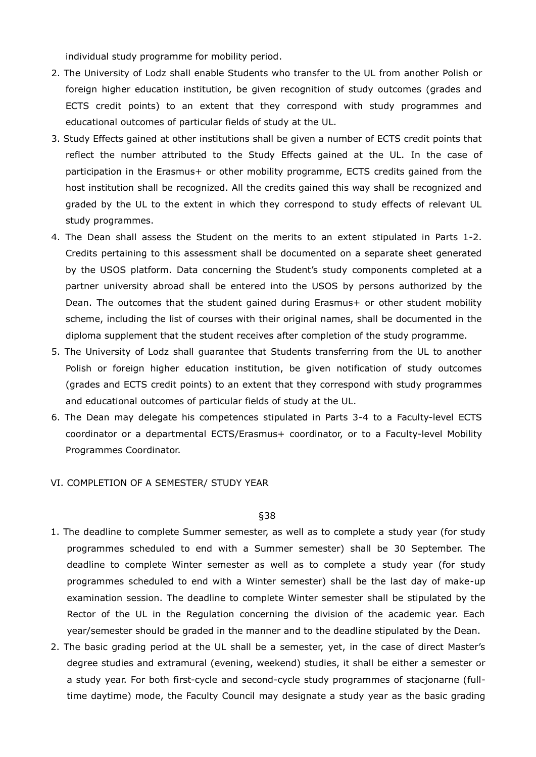individual study programme for mobility period.

- 2. The University of Lodz shall enable Students who transfer to the UL from another Polish or foreign higher education institution, be given recognition of study outcomes (grades and ECTS credit points) to an extent that they correspond with study programmes and educational outcomes of particular fields of study at the UL.
- 3. Study Effects gained at other institutions shall be given a number of ECTS credit points that reflect the number attributed to the Study Effects gained at the UL. In the case of participation in the Erasmus+ or other mobility programme, ECTS credits gained from the host institution shall be recognized. All the credits gained this way shall be recognized and graded by the UL to the extent in which they correspond to study effects of relevant UL study programmes.
- 4. The Dean shall assess the Student on the merits to an extent stipulated in Parts 1-2. Credits pertaining to this assessment shall be documented on a separate sheet generated by the USOS platform. Data concerning the Student's study components completed at a partner university abroad shall be entered into the USOS by persons authorized by the Dean. The outcomes that the student gained during Erasmus+ or other student mobility scheme, including the list of courses with their original names, shall be documented in the diploma supplement that the student receives after completion of the study programme.
- 5. The University of Lodz shall guarantee that Students transferring from the UL to another Polish or foreign higher education institution, be given notification of study outcomes (grades and ECTS credit points) to an extent that they correspond with study programmes and educational outcomes of particular fields of study at the UL.
- 6. The Dean may delegate his competences stipulated in Parts 3-4 to a Faculty-level ECTS coordinator or a departmental ECTS/Erasmus+ coordinator, or to a Faculty-level Mobility Programmes Coordinator.
- VI. COMPLETION OF A SEMESTER/ STUDY YEAR

- 1. The deadline to complete Summer semester, as well as to complete a study year (for study programmes scheduled to end with a Summer semester) shall be 30 September. The deadline to complete Winter semester as well as to complete a study year (for study programmes scheduled to end with a Winter semester) shall be the last day of make-up examination session. The deadline to complete Winter semester shall be stipulated by the Rector of the UL in the Regulation concerning the division of the academic year. Each year/semester should be graded in the manner and to the deadline stipulated by the Dean.
- 2. The basic grading period at the UL shall be a semester, yet, in the case of direct Master's degree studies and extramural (evening, weekend) studies, it shall be either a semester or a study year. For both first-cycle and second-cycle study programmes of stacjonarne (fulltime daytime) mode, the Faculty Council may designate a study year as the basic grading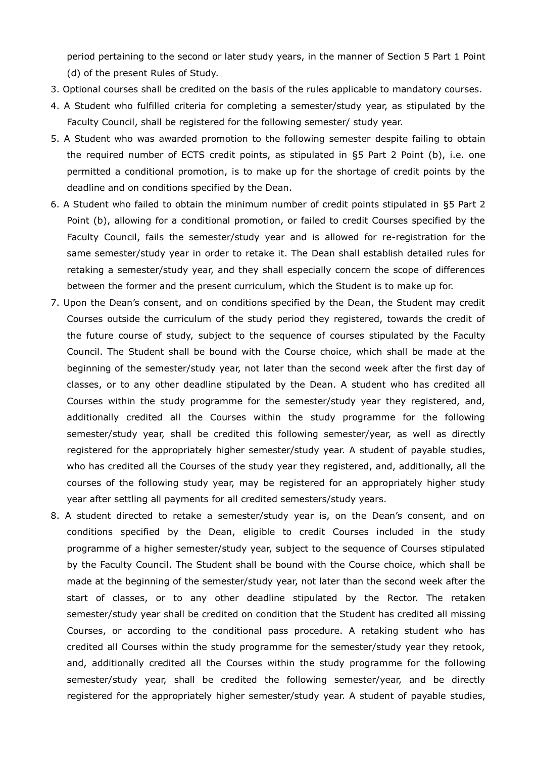period pertaining to the second or later study years, in the manner of Section 5 Part 1 Point (d) of the present Rules of Study.

- 3. Optional courses shall be credited on the basis of the rules applicable to mandatory courses.
- 4. A Student who fulfilled criteria for completing a semester/study year, as stipulated by the Faculty Council, shall be registered for the following semester/ study year.
- 5. A Student who was awarded promotion to the following semester despite failing to obtain the required number of ECTS credit points, as stipulated in §5 Part 2 Point (b), i.e. one permitted a conditional promotion, is to make up for the shortage of credit points by the deadline and on conditions specified by the Dean.
- 6. A Student who failed to obtain the minimum number of credit points stipulated in §5 Part 2 Point (b), allowing for a conditional promotion, or failed to credit Courses specified by the Faculty Council, fails the semester/study year and is allowed for re-registration for the same semester/study year in order to retake it. The Dean shall establish detailed rules for retaking a semester/study year, and they shall especially concern the scope of differences between the former and the present curriculum, which the Student is to make up for.
- 7. Upon the Dean's consent, and on conditions specified by the Dean, the Student may credit Courses outside the curriculum of the study period they registered, towards the credit of the future course of study, subject to the sequence of courses stipulated by the Faculty Council. The Student shall be bound with the Course choice, which shall be made at the beginning of the semester/study year, not later than the second week after the first day of classes, or to any other deadline stipulated by the Dean. A student who has credited all Courses within the study programme for the semester/study year they registered, and, additionally credited all the Courses within the study programme for the following semester/study year, shall be credited this following semester/year, as well as directly registered for the appropriately higher semester/study year. A student of payable studies, who has credited all the Courses of the study year they registered, and, additionally, all the courses of the following study year, may be registered for an appropriately higher study year after settling all payments for all credited semesters/study years.
- 8. A student directed to retake a semester/study year is, on the Dean's consent, and on conditions specified by the Dean, eligible to credit Courses included in the study programme of a higher semester/study year, subject to the sequence of Courses stipulated by the Faculty Council. The Student shall be bound with the Course choice, which shall be made at the beginning of the semester/study year, not later than the second week after the start of classes, or to any other deadline stipulated by the Rector. The retaken semester/study year shall be credited on condition that the Student has credited all missing Courses, or according to the conditional pass procedure. A retaking student who has credited all Courses within the study programme for the semester/study year they retook, and, additionally credited all the Courses within the study programme for the following semester/study year, shall be credited the following semester/year, and be directly registered for the appropriately higher semester/study year. A student of payable studies,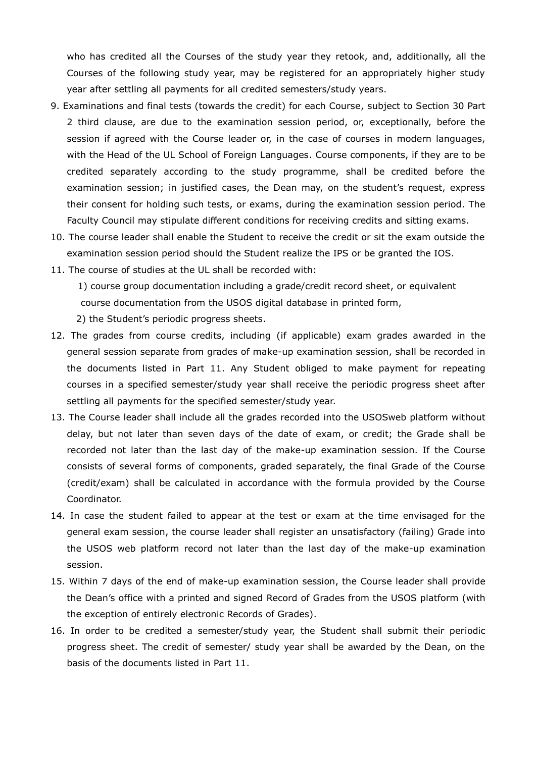who has credited all the Courses of the study year they retook, and, additionally, all the Courses of the following study year, may be registered for an appropriately higher study year after settling all payments for all credited semesters/study years.

- 9. Examinations and final tests (towards the credit) for each Course, subject to Section 30 Part 2 third clause, are due to the examination session period, or, exceptionally, before the session if agreed with the Course leader or, in the case of courses in modern languages, with the Head of the UL School of Foreign Languages. Course components, if they are to be credited separately according to the study programme, shall be credited before the examination session; in justified cases, the Dean may, on the student's request, express their consent for holding such tests, or exams, during the examination session period. The Faculty Council may stipulate different conditions for receiving credits and sitting exams.
- 10. The course leader shall enable the Student to receive the credit or sit the exam outside the examination session period should the Student realize the IPS or be granted the IOS.
- 11. The course of studies at the UL shall be recorded with:

1) course group documentation including a grade/credit record sheet, or equivalent course documentation from the USOS digital database in printed form,

- 2) the Student's periodic progress sheets.
- 12. The grades from course credits, including (if applicable) exam grades awarded in the general session separate from grades of make-up examination session, shall be recorded in the documents listed in Part 11. Any Student obliged to make payment for repeating courses in a specified semester/study year shall receive the periodic progress sheet after settling all payments for the specified semester/study year.
- 13. The Course leader shall include all the grades recorded into the USOSweb platform without delay, but not later than seven days of the date of exam, or credit; the Grade shall be recorded not later than the last day of the make-up examination session. If the Course consists of several forms of components, graded separately, the final Grade of the Course (credit/exam) shall be calculated in accordance with the formula provided by the Course Coordinator.
- 14. In case the student failed to appear at the test or exam at the time envisaged for the general exam session, the course leader shall register an unsatisfactory (failing) Grade into the USOS web platform record not later than the last day of the make-up examination session.
- 15. Within 7 days of the end of make-up examination session, the Course leader shall provide the Dean's office with a printed and signed Record of Grades from the USOS platform (with the exception of entirely electronic Records of Grades).
- 16. In order to be credited a semester/study year, the Student shall submit their periodic progress sheet. The credit of semester/ study year shall be awarded by the Dean, on the basis of the documents listed in Part 11.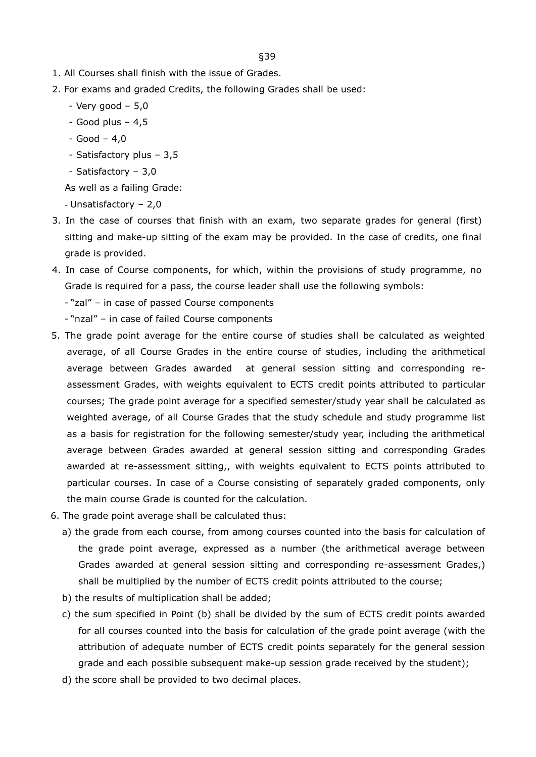- 1. All Courses shall finish with the issue of Grades.
- 2. For exams and graded Credits, the following Grades shall be used:
	- $-$  Very good  $-5.0$
	- $-$  Good plus  $-4,5$
	- $-$  Good  $-$  4,0
	- Satisfactory plus 3,5
	- Satisfactory 3,0

As well as a failing Grade:

- Unsatisfactory – 2,0

- 3. In the case of courses that finish with an exam, two separate grades for general (first) sitting and make-up sitting of the exam may be provided. In the case of credits, one final grade is provided.
- 4. In case of Course components, for which, within the provisions of study programme, no Grade is required for a pass, the course leader shall use the following symbols:
	- "zal" in case of passed Course components
	- "nzal" in case of failed Course components
- 5. The grade point average for the entire course of studies shall be calculated as weighted average, of all Course Grades in the entire course of studies, including the arithmetical average between Grades awarded at general session sitting and corresponding reassessment Grades, with weights equivalent to ECTS credit points attributed to particular courses; The grade point average for a specified semester/study year shall be calculated as weighted average, of all Course Grades that the study schedule and study programme list as a basis for registration for the following semester/study year, including the arithmetical average between Grades awarded at general session sitting and corresponding Grades awarded at re-assessment sitting,, with weights equivalent to ECTS points attributed to particular courses. In case of a Course consisting of separately graded components, only the main course Grade is counted for the calculation.
- 6. The grade point average shall be calculated thus:
	- a) the grade from each course, from among courses counted into the basis for calculation of the grade point average, expressed as a number (the arithmetical average between Grades awarded at general session sitting and corresponding re-assessment Grades,) shall be multiplied by the number of ECTS credit points attributed to the course;
	- b) the results of multiplication shall be added;
	- c) the sum specified in Point (b) shall be divided by the sum of ECTS credit points awarded for all courses counted into the basis for calculation of the grade point average (with the attribution of adequate number of ECTS credit points separately for the general session grade and each possible subsequent make-up session grade received by the student);
	- d) the score shall be provided to two decimal places.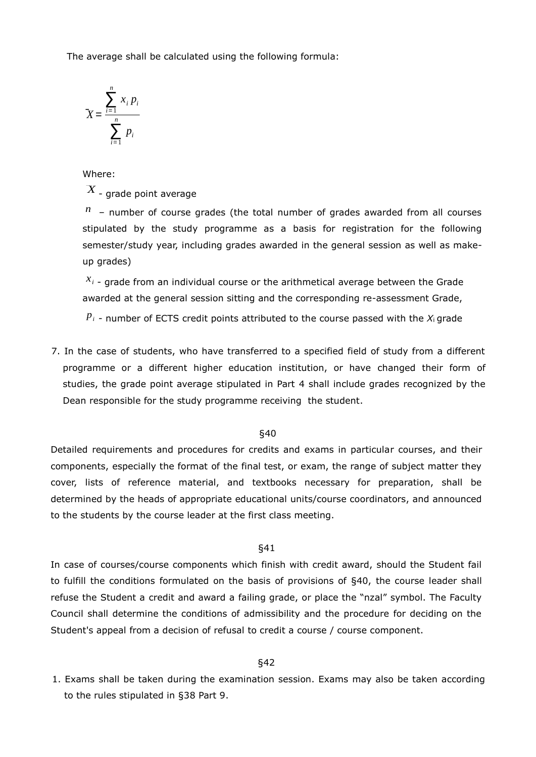The average shall be calculated using the following formula:

$$
X = \frac{\sum_{i=1}^{n} x_i p_i}{\sum_{i=1}^{n} p_i}
$$

Where:

 $\overline{X}$  $\cdot$  - grade point average

*<sup>n</sup>* – number of course grades (the total number of grades awarded from all courses stipulated by the study programme as a basis for registration for the following semester/study year, including grades awarded in the general session as well as makeup grades)

*<sup>x</sup><sup>i</sup>* - grade from an individual course or the arithmetical average between the Grade awarded at the general session sitting and the corresponding re-assessment Grade,

 *- number of ECTS credit points attributed to the course passed with the*  $*X*<sub>i</sub>$  *grade* 

7. In the case of students, who have transferred to a specified field of study from a different programme or a different higher education institution, or have changed their form of studies, the grade point average stipulated in Part 4 shall include grades recognized by the Dean responsible for the study programme receiving the student.

## §40

Detailed requirements and procedures for credits and exams in particular courses, and their components, especially the format of the final test, or exam, the range of subject matter they cover, lists of reference material, and textbooks necessary for preparation, shall be determined by the heads of appropriate educational units/course coordinators, and announced to the students by the course leader at the first class meeting.

## §41

In case of courses/course components which finish with credit award, should the Student fail to fulfill the conditions formulated on the basis of provisions of §40, the course leader shall refuse the Student a credit and award a failing grade, or place the "nzal" symbol. The Faculty Council shall determine the conditions of admissibility and the procedure for deciding on the Student's appeal from a decision of refusal to credit a course / course component.

## §42

1. Exams shall be taken during the examination session. Exams may also be taken according to the rules stipulated in §38 Part 9.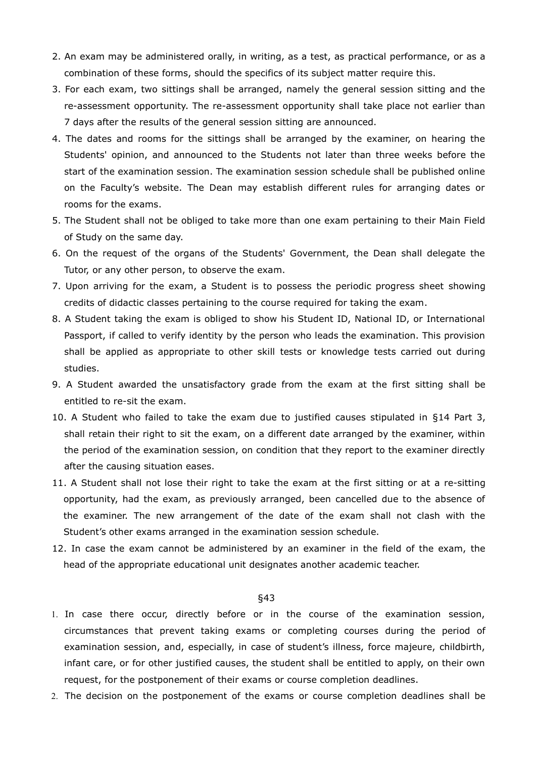- 2. An exam may be administered orally, in writing, as a test, as practical performance, or as a combination of these forms, should the specifics of its subject matter require this.
- 3. For each exam, two sittings shall be arranged, namely the general session sitting and the re-assessment opportunity. The re-assessment opportunity shall take place not earlier than 7 days after the results of the general session sitting are announced.
- 4. The dates and rooms for the sittings shall be arranged by the examiner, on hearing the Students' opinion, and announced to the Students not later than three weeks before the start of the examination session. The examination session schedule shall be published online on the Faculty's website. The Dean may establish different rules for arranging dates or rooms for the exams.
- 5. The Student shall not be obliged to take more than one exam pertaining to their Main Field of Study on the same day.
- 6. On the request of the organs of the Students' Government, the Dean shall delegate the Tutor, or any other person, to observe the exam.
- 7. Upon arriving for the exam, a Student is to possess the periodic progress sheet showing credits of didactic classes pertaining to the course required for taking the exam.
- 8. A Student taking the exam is obliged to show his Student ID, National ID, or International Passport, if called to verify identity by the person who leads the examination. This provision shall be applied as appropriate to other skill tests or knowledge tests carried out during studies.
- 9. A Student awarded the unsatisfactory grade from the exam at the first sitting shall be entitled to re-sit the exam.
- 10. A Student who failed to take the exam due to justified causes stipulated in §14 Part 3, shall retain their right to sit the exam, on a different date arranged by the examiner, within the period of the examination session, on condition that they report to the examiner directly after the causing situation eases.
- 11. A Student shall not lose their right to take the exam at the first sitting or at a re-sitting opportunity, had the exam, as previously arranged, been cancelled due to the absence of the examiner. The new arrangement of the date of the exam shall not clash with the Student's other exams arranged in the examination session schedule.
- 12. In case the exam cannot be administered by an examiner in the field of the exam, the head of the appropriate educational unit designates another academic teacher.

- 1. In case there occur, directly before or in the course of the examination session, circumstances that prevent taking exams or completing courses during the period of examination session, and, especially, in case of student's illness, force majeure, childbirth, infant care, or for other justified causes, the student shall be entitled to apply, on their own request, for the postponement of their exams or course completion deadlines.
- The decision on the postponement of the exams or course completion deadlines shall be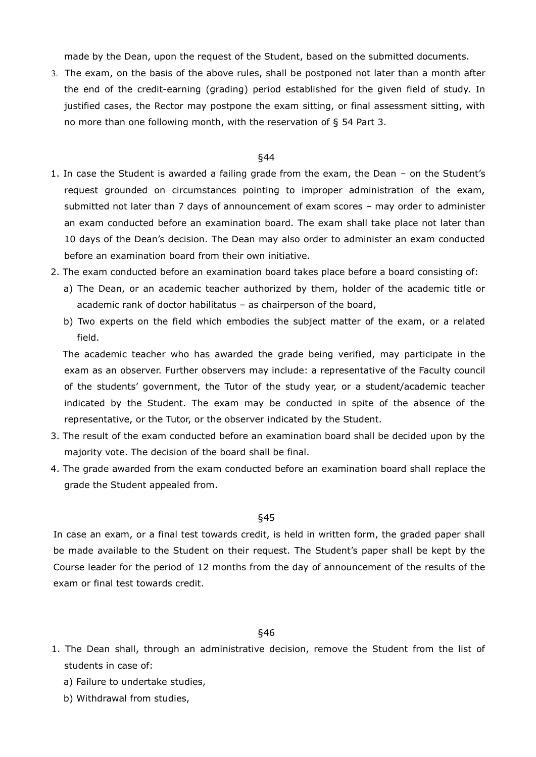made by the Dean, upon the request of the Student, based on the submitted documents.

 The exam, on the basis of the above rules, shall be postponed not later than a month after the end of the credit-earning (grading) period established for the given field of study. In justified cases, the Rector may postpone the exam sitting, or final assessment sitting, with no more than one following month, with the reservation of § 54 Part 3.

#### §44

- 1. In case the Student is awarded a failing grade from the exam, the Dean on the Student's request grounded on circumstances pointing to improper administration of the exam, submitted not later than 7 days of announcement of exam scores – may order to administer an exam conducted before an examination board. The exam shall take place not later than 10 days of the Dean's decision. The Dean may also order to administer an exam conducted before an examination board from their own initiative.
- 2. The exam conducted before an examination board takes place before a board consisting of:
	- a) The Dean, or an academic teacher authorized by them, holder of the academic title or academic rank of doctor habilitatus – as chairperson of the board,
	- b) Two experts on the field which embodies the subject matter of the exam, or a related field.

The academic teacher who has awarded the grade being verified, may participate in the exam as an observer. Further observers may include: a representative of the Faculty council of the students' government, the Tutor of the study year, or a student/academic teacher indicated by the Student. The exam may be conducted in spite of the absence of the representative, or the Tutor, or the observer indicated by the Student.

- 3. The result of the exam conducted before an examination board shall be decided upon by the majority vote. The decision of the board shall be final.
- 4. The grade awarded from the exam conducted before an examination board shall replace the grade the Student appealed from.

## §45

In case an exam, or a final test towards credit, is held in written form, the graded paper shall be made available to the Student on their request. The Student's paper shall be kept by the Course leader for the period of 12 months from the day of announcement of the results of the exam or final test towards credit.

- 1. The Dean shall, through an administrative decision, remove the Student from the list of students in case of:
	- a) Failure to undertake studies,
	- b) Withdrawal from studies,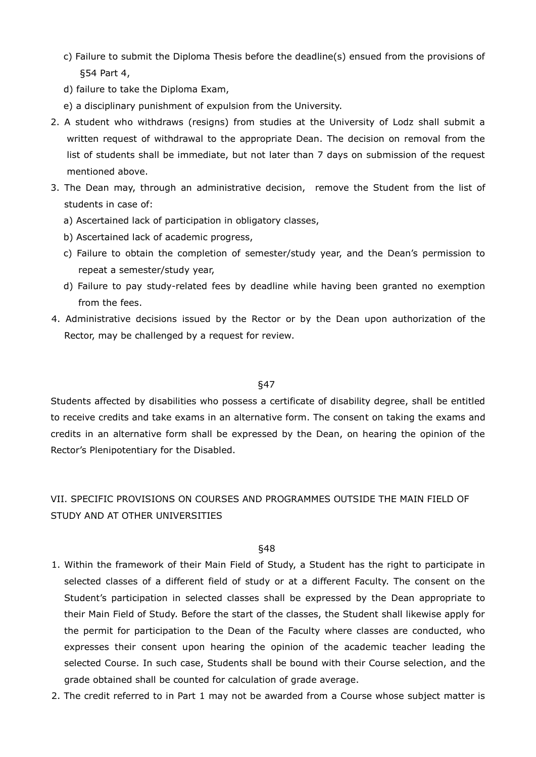- c) Failure to submit the Diploma Thesis before the deadline(s) ensued from the provisions of §54 Part 4,
- d) failure to take the Diploma Exam,
- e) a disciplinary punishment of expulsion from the University.
- 2. A student who withdraws (resigns) from studies at the University of Lodz shall submit a written request of withdrawal to the appropriate Dean. The decision on removal from the list of students shall be immediate, but not later than 7 days on submission of the request mentioned above.
- 3. The Dean may, through an administrative decision, remove the Student from the list of students in case of:
	- a) Ascertained lack of participation in obligatory classes,
	- b) Ascertained lack of academic progress,
	- c) Failure to obtain the completion of semester/study year, and the Dean's permission to repeat a semester/study year,
	- d) Failure to pay study-related fees by deadline while having been granted no exemption from the fees.
- 4. Administrative decisions issued by the Rector or by the Dean upon authorization of the Rector, may be challenged by a request for review.

Students affected by disabilities who possess a certificate of disability degree, shall be entitled to receive credits and take exams in an alternative form. The consent on taking the exams and credits in an alternative form shall be expressed by the Dean, on hearing the opinion of the Rector's Plenipotentiary for the Disabled.

# VII. SPECIFIC PROVISIONS ON COURSES AND PROGRAMMES OUTSIDE THE MAIN FIELD OF STUDY AND AT OTHER UNIVERSITIES

- 1. Within the framework of their Main Field of Study, a Student has the right to participate in selected classes of a different field of study or at a different Faculty. The consent on the Student's participation in selected classes shall be expressed by the Dean appropriate to their Main Field of Study. Before the start of the classes, the Student shall likewise apply for the permit for participation to the Dean of the Faculty where classes are conducted, who expresses their consent upon hearing the opinion of the academic teacher leading the selected Course. In such case, Students shall be bound with their Course selection, and the grade obtained shall be counted for calculation of grade average.
- 2. The credit referred to in Part 1 may not be awarded from a Course whose subject matter is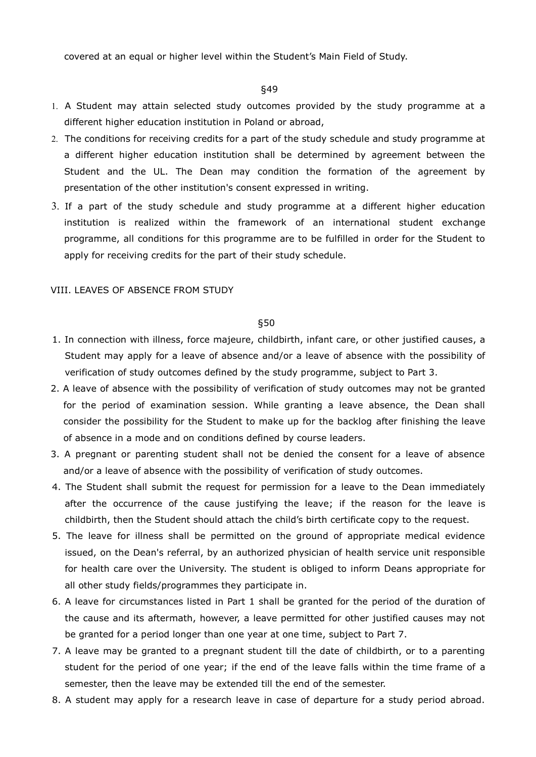covered at an equal or higher level within the Student's Main Field of Study.

§49

- A Student may attain selected study outcomes provided by the study programme at a different higher education institution in Poland or abroad,
- The conditions for receiving credits for a part of the study schedule and study programme at a different higher education institution shall be determined by agreement between the Student and the UL. The Dean may condition the formation of the agreement by presentation of the other institution's consent expressed in writing.
- If a part of the study schedule and study programme at a different higher education institution is realized within the framework of an international student exchange programme, all conditions for this programme are to be fulfilled in order for the Student to apply for receiving credits for the part of their study schedule.

## VIII. LEAVES OF ABSENCE FROM STUDY

- 1. In connection with illness, force majeure, childbirth, infant care, or other justified causes, a Student may apply for a leave of absence and/or a leave of absence with the possibility of verification of study outcomes defined by the study programme, subject to Part 3.
- 2. A leave of absence with the possibility of verification of study outcomes may not be granted for the period of examination session. While granting a leave absence, the Dean shall consider the possibility for the Student to make up for the backlog after finishing the leave of absence in a mode and on conditions defined by course leaders.
- 3. A pregnant or parenting student shall not be denied the consent for a leave of absence and/or a leave of absence with the possibility of verification of study outcomes.
- 4. The Student shall submit the request for permission for a leave to the Dean immediately after the occurrence of the cause justifying the leave; if the reason for the leave is childbirth, then the Student should attach the child's birth certificate copy to the request.
- 5. The leave for illness shall be permitted on the ground of appropriate medical evidence issued, on the Dean's referral, by an authorized physician of health service unit responsible for health care over the University. The student is obliged to inform Deans appropriate for all other study fields/programmes they participate in.
- 6. A leave for circumstances listed in Part 1 shall be granted for the period of the duration of the cause and its aftermath, however, a leave permitted for other justified causes may not be granted for a period longer than one year at one time, subject to Part 7.
- 7. A leave may be granted to a pregnant student till the date of childbirth, or to a parenting student for the period of one year; if the end of the leave falls within the time frame of a semester, then the leave may be extended till the end of the semester.
- 8. A student may apply for a research leave in case of departure for a study period abroad.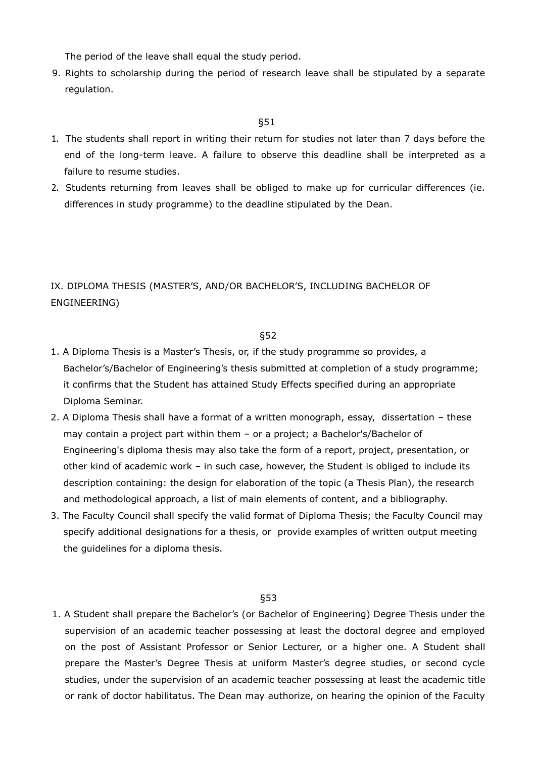The period of the leave shall equal the study period.

9. Rights to scholarship during the period of research leave shall be stipulated by a separate regulation.

## §51

- 1. The students shall report in writing their return for studies not later than 7 days before the end of the long-term leave. A failure to observe this deadline shall be interpreted as a failure to resume studies.
- 2. Students returning from leaves shall be obliged to make up for curricular differences (ie. differences in study programme) to the deadline stipulated by the Dean.

IX. DIPLOMA THESIS (MASTER'S, AND/OR BACHELOR'S, INCLUDING BACHELOR OF ENGINEERING)

## §52

- 1. A Diploma Thesis is a Master's Thesis, or, if the study programme so provides, a Bachelor's/Bachelor of Engineering's thesis submitted at completion of a study programme; it confirms that the Student has attained Study Effects specified during an appropriate Diploma Seminar.
- 2. A Diploma Thesis shall have a format of a written monograph, essay, dissertation these may contain a project part within them – or a project; a Bachelor's/Bachelor of Engineering's diploma thesis may also take the form of a report, project, presentation, or other kind of academic work – in such case, however, the Student is obliged to include its description containing: the design for elaboration of the topic (a Thesis Plan), the research and methodological approach, a list of main elements of content, and a bibliography.
- 3. The Faculty Council shall specify the valid format of Diploma Thesis; the Faculty Council may specify additional designations for a thesis, or provide examples of written output meeting the guidelines for a diploma thesis.

## §53

1. A Student shall prepare the Bachelor's (or Bachelor of Engineering) Degree Thesis under the supervision of an academic teacher possessing at least the doctoral degree and employed on the post of Assistant Professor or Senior Lecturer, or a higher one. A Student shall prepare the Master's Degree Thesis at uniform Master's degree studies, or second cycle studies, under the supervision of an academic teacher possessing at least the academic title or rank of doctor habilitatus. The Dean may authorize, on hearing the opinion of the Faculty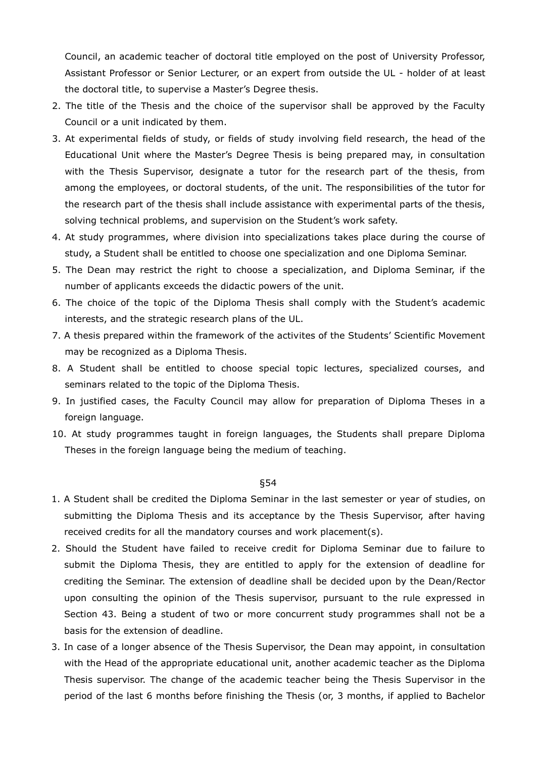Council, an academic teacher of doctoral title employed on the post of University Professor, Assistant Professor or Senior Lecturer, or an expert from outside the UL - holder of at least the doctoral title, to supervise a Master's Degree thesis.

- 2. The title of the Thesis and the choice of the supervisor shall be approved by the Faculty Council or a unit indicated by them.
- 3. At experimental fields of study, or fields of study involving field research, the head of the Educational Unit where the Master's Degree Thesis is being prepared may, in consultation with the Thesis Supervisor, designate a tutor for the research part of the thesis, from among the employees, or doctoral students, of the unit. The responsibilities of the tutor for the research part of the thesis shall include assistance with experimental parts of the thesis, solving technical problems, and supervision on the Student's work safety.
- 4. At study programmes, where division into specializations takes place during the course of study, a Student shall be entitled to choose one specialization and one Diploma Seminar.
- 5. The Dean may restrict the right to choose a specialization, and Diploma Seminar, if the number of applicants exceeds the didactic powers of the unit.
- 6. The choice of the topic of the Diploma Thesis shall comply with the Student's academic interests, and the strategic research plans of the UL.
- 7. A thesis prepared within the framework of the activites of the Students' Scientific Movement may be recognized as a Diploma Thesis.
- 8. A Student shall be entitled to choose special topic lectures, specialized courses, and seminars related to the topic of the Diploma Thesis.
- 9. In justified cases, the Faculty Council may allow for preparation of Diploma Theses in a foreign language.
- 10. At study programmes taught in foreign languages, the Students shall prepare Diploma Theses in the foreign language being the medium of teaching.

- 1. A Student shall be credited the Diploma Seminar in the last semester or year of studies, on submitting the Diploma Thesis and its acceptance by the Thesis Supervisor, after having received credits for all the mandatory courses and work placement(s).
- 2. Should the Student have failed to receive credit for Diploma Seminar due to failure to submit the Diploma Thesis, they are entitled to apply for the extension of deadline for crediting the Seminar. The extension of deadline shall be decided upon by the Dean/Rector upon consulting the opinion of the Thesis supervisor, pursuant to the rule expressed in Section 43. Being a student of two or more concurrent study programmes shall not be a basis for the extension of deadline.
- 3. In case of a longer absence of the Thesis Supervisor, the Dean may appoint, in consultation with the Head of the appropriate educational unit, another academic teacher as the Diploma Thesis supervisor. The change of the academic teacher being the Thesis Supervisor in the period of the last 6 months before finishing the Thesis (or, 3 months, if applied to Bachelor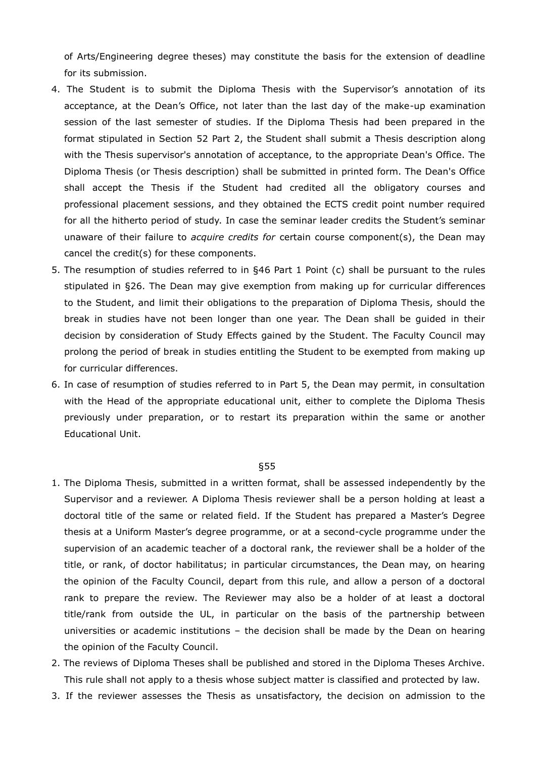of Arts/Engineering degree theses) may constitute the basis for the extension of deadline for its submission.

- 4. The Student is to submit the Diploma Thesis with the Supervisor's annotation of its acceptance, at the Dean's Office, not later than the last day of the make-up examination session of the last semester of studies. If the Diploma Thesis had been prepared in the format stipulated in Section 52 Part 2, the Student shall submit a Thesis description along with the Thesis supervisor's annotation of acceptance, to the appropriate Dean's Office. The Diploma Thesis (or Thesis description) shall be submitted in printed form. The Dean's Office shall accept the Thesis if the Student had credited all the obligatory courses and professional placement sessions, and they obtained the ECTS credit point number required for all the hitherto period of study. In case the seminar leader credits the Student's seminar unaware of their failure to *acquire credits for* certain course component(s), the Dean may cancel the credit(s) for these components.
- 5. The resumption of studies referred to in §46 Part 1 Point (c) shall be pursuant to the rules stipulated in §26. The Dean may give exemption from making up for curricular differences to the Student, and limit their obligations to the preparation of Diploma Thesis, should the break in studies have not been longer than one year. The Dean shall be guided in their decision by consideration of Study Effects gained by the Student. The Faculty Council may prolong the period of break in studies entitling the Student to be exempted from making up for curricular differences.
- 6. In case of resumption of studies referred to in Part 5, the Dean may permit, in consultation with the Head of the appropriate educational unit, either to complete the Diploma Thesis previously under preparation, or to restart its preparation within the same or another Educational Unit.

- 1. The Diploma Thesis, submitted in a written format, shall be assessed independently by the Supervisor and a reviewer. A Diploma Thesis reviewer shall be a person holding at least a doctoral title of the same or related field. If the Student has prepared a Master's Degree thesis at a Uniform Master's degree programme, or at a second-cycle programme under the supervision of an academic teacher of a doctoral rank, the reviewer shall be a holder of the title, or rank, of doctor habilitatus; in particular circumstances, the Dean may, on hearing the opinion of the Faculty Council, depart from this rule, and allow a person of a doctoral rank to prepare the review. The Reviewer may also be a holder of at least a doctoral title/rank from outside the UL, in particular on the basis of the partnership between universities or academic institutions – the decision shall be made by the Dean on hearing the opinion of the Faculty Council.
- 2. The reviews of Diploma Theses shall be published and stored in the Diploma Theses Archive. This rule shall not apply to a thesis whose subject matter is classified and protected by law.
- 3. If the reviewer assesses the Thesis as unsatisfactory, the decision on admission to the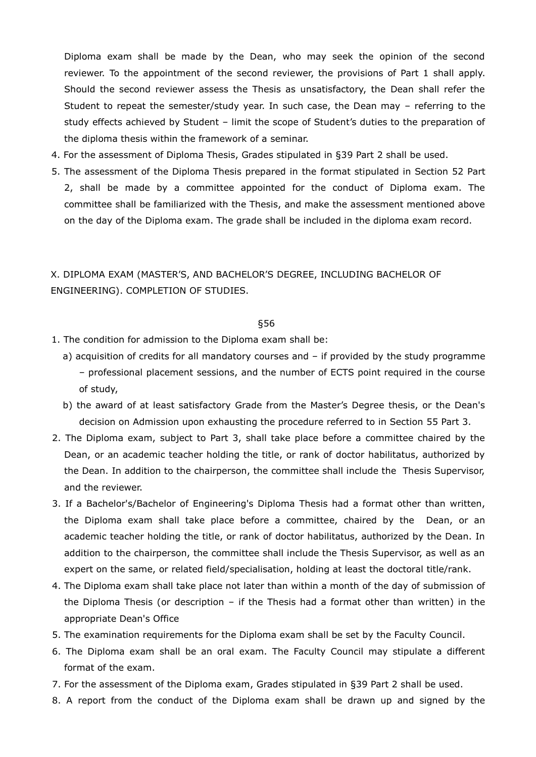Diploma exam shall be made by the Dean, who may seek the opinion of the second reviewer. To the appointment of the second reviewer, the provisions of Part 1 shall apply. Should the second reviewer assess the Thesis as unsatisfactory, the Dean shall refer the Student to repeat the semester/study year. In such case, the Dean may – referring to the study effects achieved by Student – limit the scope of Student's duties to the preparation of the diploma thesis within the framework of a seminar.

- 4. For the assessment of Diploma Thesis, Grades stipulated in §39 Part 2 shall be used.
- 5. The assessment of the Diploma Thesis prepared in the format stipulated in Section 52 Part 2, shall be made by a committee appointed for the conduct of Diploma exam. The committee shall be familiarized with the Thesis, and make the assessment mentioned above on the day of the Diploma exam. The grade shall be included in the diploma exam record.

# X. DIPLOMA EXAM (MASTER'S, AND BACHELOR'S DEGREE, INCLUDING BACHELOR OF ENGINEERING). COMPLETION OF STUDIES.

- 1. The condition for admission to the Diploma exam shall be:
	- a) acquisition of credits for all mandatory courses and if provided by the study programme – professional placement sessions, and the number of ECTS point required in the course of study,
	- b) the award of at least satisfactory Grade from the Master's Degree thesis, or the Dean's decision on Admission upon exhausting the procedure referred to in Section 55 Part 3.
- 2. The Diploma exam, subject to Part 3, shall take place before a committee chaired by the Dean, or an academic teacher holding the title, or rank of doctor habilitatus, authorized by the Dean. In addition to the chairperson, the committee shall include the Thesis Supervisor, and the reviewer.
- 3. If a Bachelor's/Bachelor of Engineering's Diploma Thesis had a format other than written, the Diploma exam shall take place before a committee, chaired by the Dean, or an academic teacher holding the title, or rank of doctor habilitatus, authorized by the Dean. In addition to the chairperson, the committee shall include the Thesis Supervisor, as well as an expert on the same, or related field/specialisation, holding at least the doctoral title/rank.
- 4. The Diploma exam shall take place not later than within a month of the day of submission of the Diploma Thesis (or description – if the Thesis had a format other than written) in the appropriate Dean's Office
- 5. The examination requirements for the Diploma exam shall be set by the Faculty Council.
- 6. The Diploma exam shall be an oral exam. The Faculty Council may stipulate a different format of the exam.
- 7. For the assessment of the Diploma exam, Grades stipulated in §39 Part 2 shall be used.
- 8. A report from the conduct of the Diploma exam shall be drawn up and signed by the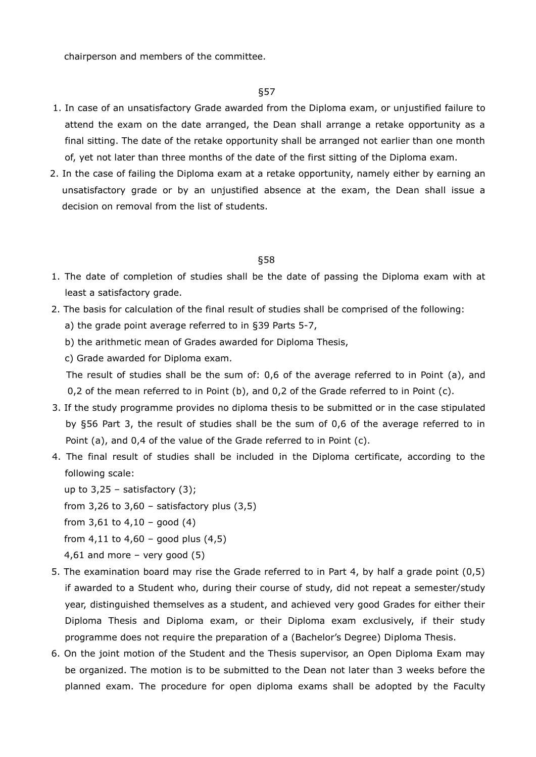chairperson and members of the committee.

## §57

- 1. In case of an unsatisfactory Grade awarded from the Diploma exam, or unjustified failure to attend the exam on the date arranged, the Dean shall arrange a retake opportunity as a final sitting. The date of the retake opportunity shall be arranged not earlier than one month of, yet not later than three months of the date of the first sitting of the Diploma exam.
- 2. In the case of failing the Diploma exam at a retake opportunity, namely either by earning an unsatisfactory grade or by an unjustified absence at the exam, the Dean shall issue a decision on removal from the list of students.

## §58

- 1. The date of completion of studies shall be the date of passing the Diploma exam with at least a satisfactory grade.
- 2. The basis for calculation of the final result of studies shall be comprised of the following:
	- a) the grade point average referred to in §39 Parts 5-7,
	- b) the arithmetic mean of Grades awarded for Diploma Thesis,
	- c) Grade awarded for Diploma exam.

The result of studies shall be the sum of: 0,6 of the average referred to in Point (a), and 0,2 of the mean referred to in Point (b), and 0,2 of the Grade referred to in Point (c).

- 3. If the study programme provides no diploma thesis to be submitted or in the case stipulated by §56 Part 3, the result of studies shall be the sum of 0,6 of the average referred to in Point (a), and 0,4 of the value of the Grade referred to in Point (c).
- 4. The final result of studies shall be included in the Diploma certificate, according to the following scale:
	- up to  $3,25$  satisfactory  $(3)$ ;
	- from  $3,26$  to  $3,60$  satisfactory plus  $(3,5)$
	- from  $3,61$  to  $4,10$  good  $(4)$
	- from  $4,11$  to  $4,60$  good plus  $(4,5)$
	- 4,61 and more very good  $(5)$
- 5. The examination board may rise the Grade referred to in Part 4, by half a grade point (0,5) if awarded to a Student who, during their course of study, did not repeat a semester/study year, distinguished themselves as a student, and achieved very good Grades for either their Diploma Thesis and Diploma exam, or their Diploma exam exclusively, if their study programme does not require the preparation of a (Bachelor's Degree) Diploma Thesis.
- 6. On the joint motion of the Student and the Thesis supervisor, an Open Diploma Exam may be organized. The motion is to be submitted to the Dean not later than 3 weeks before the planned exam. The procedure for open diploma exams shall be adopted by the Faculty